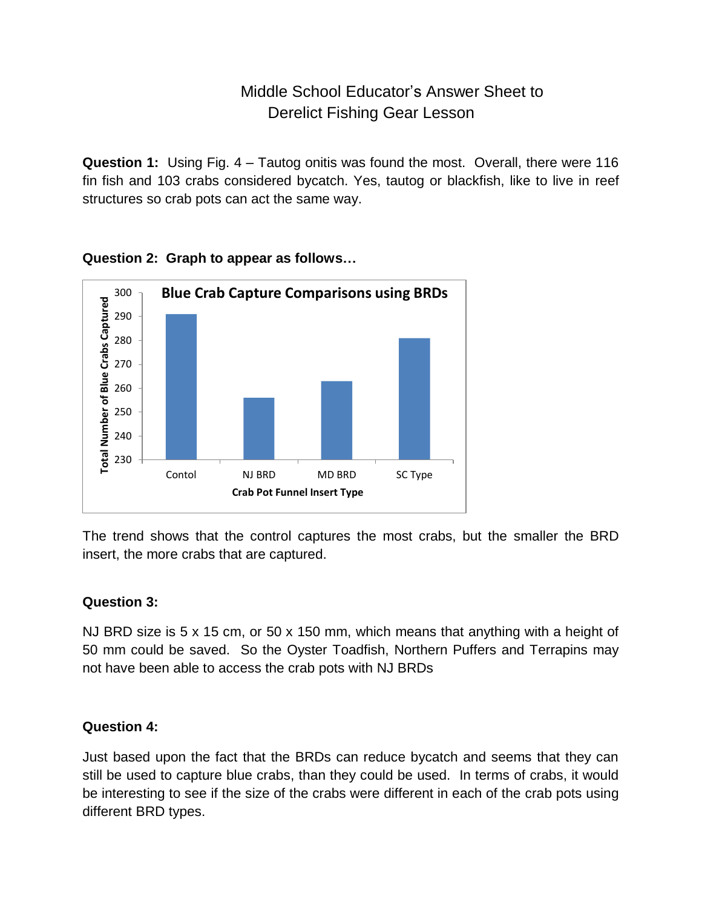# Middle School Educator's Answer Sheet to Derelict Fishing Gear Lesson

**Question 1:** Using Fig. 4 – Tautog onitis was found the most. Overall, there were 116 fin fish and 103 crabs considered bycatch. Yes, tautog or blackfish, like to live in reef structures so crab pots can act the same way.



**Question 2: Graph to appear as follows…**

The trend shows that the control captures the most crabs, but the smaller the BRD insert, the more crabs that are captured.

#### **Question 3:**

NJ BRD size is 5 x 15 cm, or 50 x 150 mm, which means that anything with a height of 50 mm could be saved. So the Oyster Toadfish, Northern Puffers and Terrapins may not have been able to access the crab pots with NJ BRDs

### **Question 4:**

Just based upon the fact that the BRDs can reduce bycatch and seems that they can still be used to capture blue crabs, than they could be used. In terms of crabs, it would be interesting to see if the size of the crabs were different in each of the crab pots using different BRD types.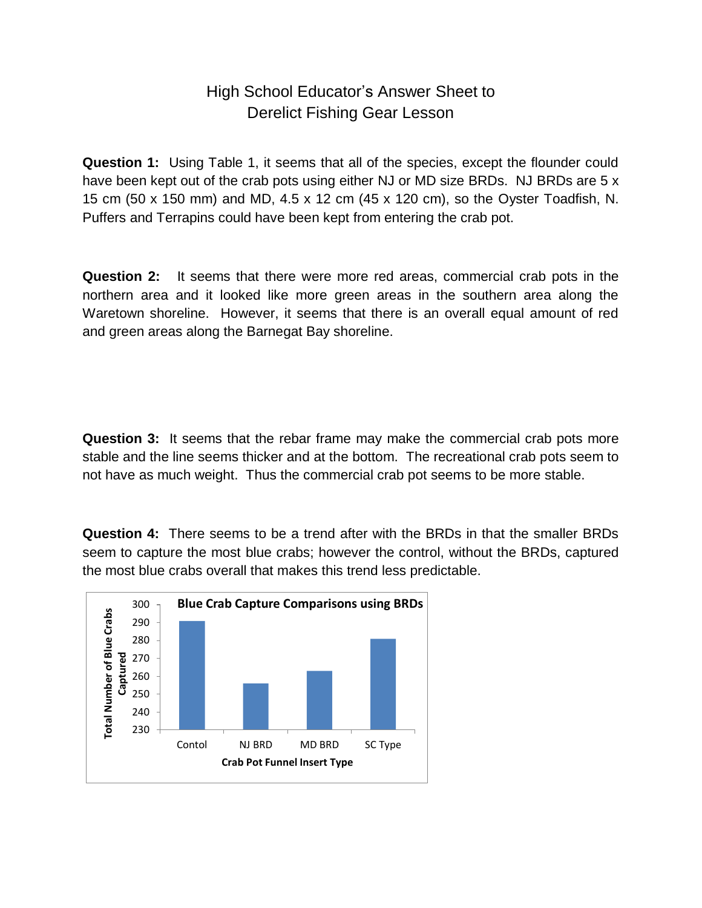### High School Educator's Answer Sheet to Derelict Fishing Gear Lesson

**Question 1:** Using Table 1, it seems that all of the species, except the flounder could have been kept out of the crab pots using either NJ or MD size BRDs. NJ BRDs are 5 x 15 cm (50 x 150 mm) and MD, 4.5 x 12 cm (45 x 120 cm), so the Oyster Toadfish, N. Puffers and Terrapins could have been kept from entering the crab pot.

**Question 2:** It seems that there were more red areas, commercial crab pots in the northern area and it looked like more green areas in the southern area along the Waretown shoreline. However, it seems that there is an overall equal amount of red and green areas along the Barnegat Bay shoreline.

**Question 3:** It seems that the rebar frame may make the commercial crab pots more stable and the line seems thicker and at the bottom. The recreational crab pots seem to not have as much weight. Thus the commercial crab pot seems to be more stable.

**Question 4:** There seems to be a trend after with the BRDs in that the smaller BRDs seem to capture the most blue crabs; however the control, without the BRDs, captured the most blue crabs overall that makes this trend less predictable.